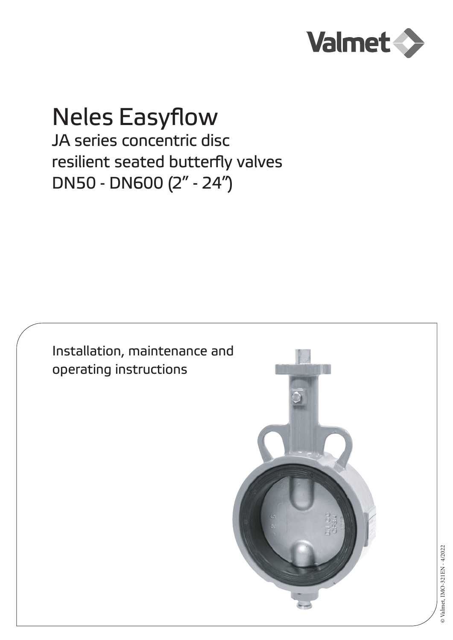

# Neles Easyflow

JA series concentric disc resilient seated butterfly valves DN50 - DN600 (2" - 24")

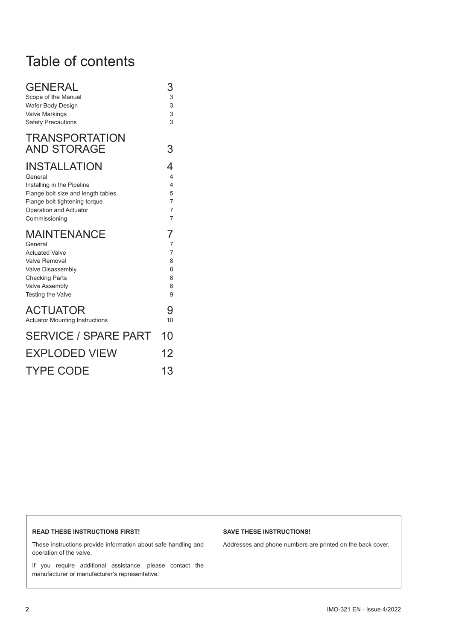# Table of contents

| <b>GENERAL</b>                              | 3              |
|---------------------------------------------|----------------|
| Scope of the Manual                         | 3              |
| Wafer Body Design                           | 3              |
| <b>Valve Markings</b>                       | 3              |
| <b>Safety Precautions</b>                   | $\overline{3}$ |
| <b>TRANSPORTATION</b><br><b>AND STORAGE</b> | 3              |
| INSTALLATION                                | 4              |
| General                                     | $\overline{4}$ |
| Installing in the Pipeline                  | $\overline{4}$ |
| Flange bolt size and length tables          | 5              |
| Flange bolt tightening torque               | $\overline{7}$ |
| Operation and Actuator                      | $\overline{7}$ |
| Commissioning                               | $\overline{7}$ |
| MAINTENANCE                                 | 7              |
| General                                     | 7              |
| <b>Actuated Valve</b>                       | $\overline{7}$ |
| Valve Removal                               | 8              |
| Valve Disassembly                           | 8              |
| <b>Checking Parts</b>                       | 8              |
| <b>Valve Assembly</b>                       | 8              |
| <b>Testing the Valve</b>                    | 9              |
| <b>ACTUATOR</b>                             | 9              |
| <b>Actuator Mounting Instructions</b>       | 10             |
| <b>SERVICE / SPARE PART</b>                 | 10             |
| <b>EXPLODED VIEW</b>                        | 12             |
| <b>TYPE CODE</b>                            | 13             |

#### **READ THESE INSTRUCTIONS FIRST!**

#### **SAVE THESE INSTRUCTIONS!**

These instructions provide information about safe handling and operation of the valve.

If you require additional assistance, please contact the manufacturer or manufacturer's representative.

Addresses and phone numbers are printed on the back cover.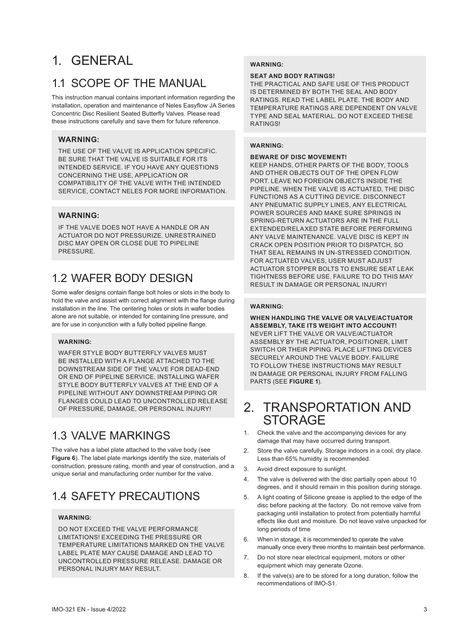# 1. GENERAL

# 1.1 SCOPE OF THE MANUAL

This instruction manual contains important information regarding the installation, operation and maintenance of Neles Easyflow JA Series Concentric Disc Resilient Seated Butterfly Valves. Please read these instructions carefully and save them for future reference.

#### **WARNING:**

THE USE OF THE VALVE IS APPLICATION SPECIFIC. BE SURE THAT THE VALVE IS SUITABLE FOR ITS INTENDED SERVICE. IF YOU HAVE ANY QUESTIONS CONCERNING THE USE, APPLICATION OR COMPATIBILITY OF THE VALVE WITH THE INTENDED SERVICE, CONTACT NELES FOR MORE INFORMATION.

#### **WARNING:**

IF THE VALVE DOES NOT HAVE A HANDLE OR AN ACTUATOR DO NOT PRESSURIZE. UNRESTRAINED DISC MAY OPEN OR CLOSE DUE TO PIPELINE **PRESSURE** 

# 1.2 WAFER BODY DESIGN

Some wafer designs contain flange bolt holes or slots in the body to hold the valve and assist with correct alignment with the flange during installation in the line. The centering holes or slots in wafer bodies alone are not suitable, or intended for containing line pressure, and are for use in conjunction with a fully bolted pipeline flange.

#### **WARNING:**

WAFER STYLE BODY BUTTERFLY VALVES MUST BE INSTALLED WITH A FLANGE ATTACHED TO THE DOWNSTREAM SIDE OF THE VALVE FOR DEAD-END OR END OF PIPELINE SERVICE. INSTALLING WAFER STYLE BODY BUTTERFLY VALVES AT THE END OF A PIPELINE WITHOUT ANY DOWNSTREAM PIPING OR FLANGES COULD LEAD TO UNCONTROLLED RELEASE OF PRESSURE, DAMAGE, OR PERSONAL INJURY!

# 1.3 VALVE MARKINGS

The valve has a label plate attached to the valve body (see **Figure 6**). The label plate markings identify the size, materials of construction, pressure rating, month and year of construction, and a unique serial and manufacturing order number for the valve.

# 1.4 SAFETY PRECAUTIONS

#### **WARNING**

DO NOT EXCEED THE VALVE PERFORMANCE LIMITATIONS! EXCEEDING THE PRESSURE OR TEMPERATURE LIMITATIONS MARKED ON THE VALVE LABEL PLATE MAY CAUSE DAMAGE AND LEAD TO UNCONTROLLED PRESSURE RELEASE. DAMAGE OR PERSONAL INJURY MAY RESULT.

#### **WARNING:**

#### **SEAT AND BODY RATINGS!**

THE PRACTICAL AND SAFE USE OF THIS PRODUCT IS DETERMINED BY BOTH THE SEAL AND BODY RATINGS. READ THE LABEL PLATE. THE BODY AND TEMPERATURE RATINGS ARE DEPENDENT ON VALVE TYPE AND SEAL MATERIAL. DO NOT EXCEED THESE RATINGS!

#### **WARNING:**

#### **BEWARE OF DISC MOVEMENT!**

KEEP HANDS, OTHER PARTS OF THE BODY, TOOLS AND OTHER OBJECTS OUT OF THE OPEN FLOW PORT. LEAVE NO FOREIGN OBJECTS INSIDE THE PIPELINE. WHEN THE VALVE IS ACTUATED, THE DISC FUNCTIONS AS A CUTTING DEVICE. DISCONNECT ANY PNEUMATIC SUPPLY LINES, ANY ELECTRICAL POWER SOURCES AND MAKE SURE SPRINGS IN SPRING-RETURN ACTUATORS ARE IN THE FULL EXTENDED/RELAXED STATE BEFORE PERFORMING ANY VALVE MAINTENANCE. VALVE DISC IS KEPT IN CRACK OPEN POSITION PRIOR TO DISPATCH, SO THAT SEAL REMAINS IN UN-STRESSED CONDITION. FOR ACTUATED VALVES, USER MUST ADJUST ACTUATOR STOPPER BOLTS TO ENSURE SEAT LEAK TIGHTNESS BEFORE USE. FAILURE TO DO THIS MAY RESULT IN DAMAGE OR PERSONAL INJURY!

#### **WARNING:**

**WHEN HANDLING THE VALVE OR VALVE/ACTUATOR ASSEMBLY, TAKE ITS WEIGHT INTO ACCOUNT!**  NEVER LIFT THE VALVE OR VALVE/ACTUATOR ASSEMBLY BY THE ACTUATOR, POSITIONER, LIMIT SWITCH OR THEIR PIPING. PLACE LIFTING DEVICES SECURELY AROUND THE VALVE BODY. FAILURE TO FOLLOW THESE INSTRUCTIONS MAY RESULT IN DAMAGE OR PERSONAL INJURY FROM FALLING PARTS (SEE **FIGURE 1**).

# 2. TRANSPORTATION AND **STORAGE**

- 1. Check the valve and the accompanying devices for any damage that may have occurred during transport.
- 2. Store the valve carefully. Storage indoors in a cool, dry place. Less than 65% humidity is recommended.
- 3. Avoid direct exposure to sunlight.
- 4. The valve is delivered with the disc partially open about 10 degrees, and it should remain in this position during storage.
- 5. A light coating of Silicone grease is applied to the edge of the disc before packing at the factory. Do not remove valve from packaging until installation to protect from potentially harmful effects like dust and moisture. Do not leave valve unpacked for long periods of time
- 6. When in storage, it is recommended to operate the valve manually once every three months to maintain best performance.
- 7. Do not store near electrical equipment, motors or other equipment which may generate Ozone.
- 8. If the valve(s) are to be stored for a long duration, follow the recommendations of IMO-S1.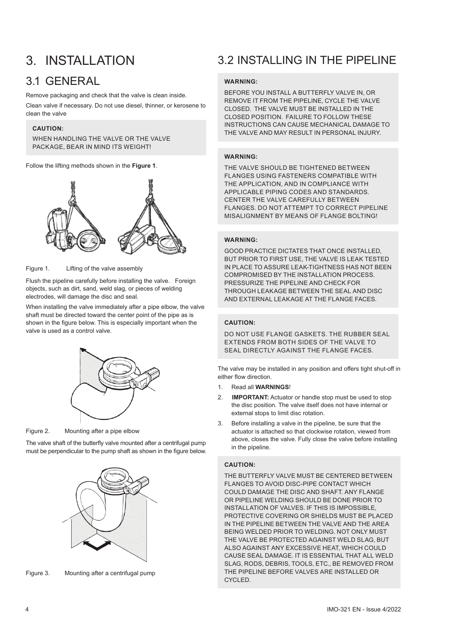# 3. INSTALLATION

### 3.1 GENERAL

Remove packaging and check that the valve is clean inside.

Clean valve if necessary. Do not use diesel, thinner, or kerosene to clean the valve

#### **CAUTION:**

WHEN HANDLING THE VALVE OR THE VALVE PACKAGE, BEAR IN MIND ITS WEIGHT!

Follow the lifting methods shown in the **Figure 1**.



Figure 1. Lifting of the valve assembly

Flush the pipeline carefully before installing the valve. Foreign objects, such as dirt, sand, weld slag, or pieces of welding electrodes, will damage the disc and seal.

When installing the valve immediately after a pipe elbow, the valve shaft must be directed toward the center point of the pipe as is shown in the figure below. This is especially important when the valve is used as a control valve.



Figure 2. Mounting after a pipe elbow

The valve shaft of the butterfly valve mounted after a centrifugal pump must be perpendicular to the pump shaft as shown in the figure below.



Figure 3. Mounting after a centrifugal pump

# 3.2 INSTALLING IN THE PIPELINE

#### **WARNING:**

BEFORE YOU INSTALL A BUTTERFLY VALVE IN, OR REMOVE IT FROM THE PIPELINE, CYCLE THE VALVE CLOSED. THE VALVE MUST BE INSTALLED IN THE CLOSED POSITION. FAILURE TO FOLLOW THESE INSTRUCTIONS CAN CAUSE MECHANICAL DAMAGE TO THE VALVE AND MAY RESULT IN PERSONAL INJURY.

#### **WARNING:**

THE VALVE SHOULD BE TIGHTENED BETWEEN FLANGES USING FASTENERS COMPATIBLE WITH THE APPLICATION, AND IN COMPLIANCE WITH APPLICABLE PIPING CODES AND STANDARDS. CENTER THE VALVE CAREFULLY BETWEEN FLANGES. DO NOT ATTEMPT TO CORRECT PIPELINE MISALIGNMENT BY MEANS OF FLANGE BOLTING!

#### **WARNING:**

GOOD PRACTICE DICTATES THAT ONCE INSTALLED, BUT PRIOR TO FIRST USE, THE VALVE IS LEAK TESTED IN PLACE TO ASSURE LEAK-TIGHTNESS HAS NOT BEEN COMPROMISED BY THE INSTALLATION PROCESS. PRESSURIZE THE PIPELINE AND CHECK FOR THROUGH LEAKAGE BETWEEN THE SEAL AND DISC AND EXTERNAL LEAKAGE AT THE FLANGE FACES.

#### **CAUTION:**

DO NOT USE FLANGE GASKETS. THE RUBBER SEAL EXTENDS FROM BOTH SIDES OF THE VALVE TO SEAL DIRECTLY AGAINST THE FLANGE FACES.

The valve may be installed in any position and offers tight shut-off in either flow direction.

- 1. Read all **WARNINGS**!
- 2. **IMPORTANT:** Actuator or handle stop must be used to stop the disc position. The valve itself does not have internal or external stops to limit disc rotation.
- 3. Before installing a valve in the pipeline, be sure that the actuator is attached so that clockwise rotation, viewed from above, closes the valve. Fully close the valve before installing in the pipeline.

#### **CAUTION:**

THE BUTTERFLY VALVE MUST BE CENTERED BETWEEN FLANGES TO AVOID DISC-PIPE CONTACT WHICH COULD DAMAGE THE DISC AND SHAFT. ANY FLANGE OR PIPELINE WELDING SHOULD BE DONE PRIOR TO INSTALLATION OF VALVES. IF THIS IS IMPOSSIBLE, PROTECTIVE COVERING OR SHIELDS MUST BE PLACED IN THE PIPELINE BETWEEN THE VALVE AND THE AREA BEING WELDED PRIOR TO WELDING. NOT ONLY MUST THE VALVE BE PROTECTED AGAINST WELD SLAG, BUT ALSO AGAINST ANY EXCESSIVE HEAT, WHICH COULD CAUSE SEAL DAMAGE. IT IS ESSENTIAL THAT ALL WELD SLAG, RODS, DEBRIS, TOOLS, ETC., BE REMOVED FROM THE PIPELINE BEFORE VALVES ARE INSTALLED OR CYCLED.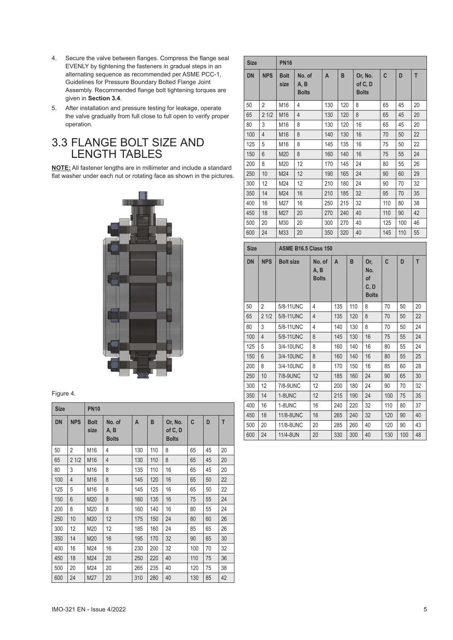- 4. Secure the valve between flanges. Compress the flange seal EVENLY by tightening the fasteners in gradual steps in an alternating sequence as recommended per ASME PCC-1, Guidelines for Pressure Boundary Bolted Flange Joint Assembly. Recommended flange bolt tightening torques are given in **Section 3.4**.
- 5. After installation and pressure testing for leakage, operate the valve gradually from full close to full open to verify proper operation.

### 3.3 FLANGE BOLT SIZE AND LENGTH TABLES

**NOTE:** All fastener lengths are in millimeter and include a standard flat washer under each nut or rotating face as shown in the pictures.



#### Figure 4.

| <b>Size</b> |                | <b>PN10</b>         |                                |     |     |                                    |     |    |    |
|-------------|----------------|---------------------|--------------------------------|-----|-----|------------------------------------|-----|----|----|
| <b>DN</b>   | <b>NPS</b>     | <b>Bolt</b><br>size | No. of<br>A, B<br><b>Bolts</b> | A   | B   | Or, No.<br>of C, D<br><b>Bolts</b> | C   | D  | T  |
| 50          | $\overline{2}$ | M16                 | 4                              | 130 | 110 | 8                                  | 65  | 45 | 20 |
| 65          | 21/2           | M16                 | 4                              | 130 | 110 | 8                                  | 65  | 45 | 20 |
| 80          | 3              | M16                 | 8                              | 135 | 110 | 16                                 | 65  | 45 | 20 |
| 100         | $\overline{4}$ | M16                 | 8                              | 145 | 120 | 16                                 | 65  | 50 | 22 |
| 125         | 5              | M16                 | 8                              | 145 | 125 | 16                                 | 65  | 50 | 22 |
| 150         | 6              | M20                 | 8                              | 160 | 135 | 16                                 | 75  | 55 | 24 |
| 200         | 8              | M20                 | 8                              | 160 | 140 | 16                                 | 80  | 55 | 24 |
| 250         | 10             | M20                 | 12                             | 175 | 150 | 24                                 | 80  | 60 | 26 |
| 300         | 12             | M20                 | 12                             | 185 | 160 | 24                                 | 85  | 65 | 26 |
| 350         | 14             | M20                 | 16                             | 195 | 170 | 32                                 | 90  | 65 | 30 |
| 400         | 16             | M24                 | 16                             | 230 | 200 | 32                                 | 100 | 70 | 32 |
| 450         | 18             | M24                 | 20                             | 250 | 220 | 40                                 | 110 | 75 | 36 |
| 500         | 20             | M24                 | 20                             | 265 | 235 | 40                                 | 120 | 75 | 38 |
| 600         | 24             | M27                 | 20                             | 310 | 280 | 40                                 | 130 | 85 | 42 |

| <b>Size</b> |                | <b>PN16</b>         |                                |     |     |                                    |     |     |    |
|-------------|----------------|---------------------|--------------------------------|-----|-----|------------------------------------|-----|-----|----|
| <b>DN</b>   | <b>NPS</b>     | <b>Bolt</b><br>size | No. of<br>A, B<br><b>Bolts</b> | A   | B   | Or, No.<br>of C, D<br><b>Bolts</b> | C   | D   | T  |
| 50          | $\overline{2}$ | M16                 | 4                              | 130 | 120 | 8                                  | 65  | 45  | 20 |
| 65          | 21/2           | M16                 | $\overline{4}$                 | 130 | 120 | 8                                  | 65  | 45  | 20 |
| 80          | 3              | M16                 | 8                              | 130 | 120 | 16                                 | 65  | 45  | 20 |
| 100         | $\overline{4}$ | M16                 | 8                              | 140 | 130 | 16                                 | 70  | 50  | 22 |
| 125         | 5              | M16                 | 8                              | 145 | 135 | 16                                 | 75  | 50  | 22 |
| 150         | $6\phantom{a}$ | M20                 | 8                              | 160 | 140 | 16                                 | 75  | 55  | 24 |
| 200         | 8              | M20                 | 12                             | 170 | 145 | 24                                 | 80  | 55  | 26 |
| 250         | 10             | M24                 | 12                             | 190 | 165 | 24                                 | 90  | 60  | 29 |
| 300         | 12             | M24                 | 12                             | 210 | 180 | 24                                 | 90  | 70  | 32 |
| 350         | 14             | M24                 | 16                             | 210 | 185 | 32                                 | 95  | 70  | 35 |
| 400         | 16             | M27                 | 16                             | 250 | 215 | 32                                 | 110 | 80  | 38 |
| 450         | 18             | M27                 | 20                             | 270 | 240 | 40                                 | 110 | 90  | 42 |
| 500         | 20             | M30                 | 20                             | 300 | 270 | 40                                 | 125 | 100 | 46 |
| 600         | 24             | M33                 | 20                             | 350 | 320 | 40                                 | 145 | 110 | 55 |

| <b>Size</b> |                | <b>ASME B16.5 Class 150</b> |                                |     |     |                                          |     |     |    |  |  |
|-------------|----------------|-----------------------------|--------------------------------|-----|-----|------------------------------------------|-----|-----|----|--|--|
| <b>DN</b>   | <b>NPS</b>     | <b>Bolt size</b>            | No. of<br>A, B<br><b>Bolts</b> | A   | B   | Or,<br>No.<br>of<br>C, D<br><b>Bolts</b> | C   | D   | T  |  |  |
| 50          | 2              | 5/8-11UNC                   | 4                              | 135 | 110 | 8                                        | 70  | 50  | 20 |  |  |
| 65          | 21/2           | 5/8-11 UNC                  | $\overline{4}$                 | 135 | 120 | 8                                        | 70  | 50  | 22 |  |  |
| 80          | 3              | 5/8-11UNC                   | 4                              | 140 | 130 | 8                                        | 70  | 50  | 24 |  |  |
| 100         | $\overline{4}$ | 5/8-11UNC                   | 8                              | 145 | 130 | 16                                       | 75  | 55  | 24 |  |  |
| 125         | 5              | 3/4-10UNC                   | 8                              | 160 | 140 | 16                                       | 80  | 55  | 24 |  |  |
| 150         | 6              | 3/4-10UNC                   | 8                              | 160 | 140 | 16                                       | 80  | 55  | 25 |  |  |
| 200         | 8              | 3/4-10UNC                   | 8                              | 170 | 150 | 16                                       | 85  | 60  | 28 |  |  |
| 250         | 10             | 7/8-9UNC                    | 12                             | 185 | 160 | 24                                       | 90  | 65  | 30 |  |  |
| 300         | 12             | 7/8-9UNC                    | 12                             | 200 | 180 | 24                                       | 90  | 70  | 32 |  |  |
| 350         | 14             | 1-8UNC                      | 12                             | 215 | 190 | 24                                       | 100 | 75  | 35 |  |  |
| 400         | 16             | 1-8UNC                      | 16                             | 240 | 220 | 32                                       | 110 | 80  | 37 |  |  |
| 450         | 18             | 11/8-8UNC                   | 16                             | 265 | 240 | 32                                       | 120 | 90  | 40 |  |  |
| 500         | 20             | 11/8-8UNC                   | 20                             | 285 | 260 | 40                                       | 120 | 90  | 43 |  |  |
| 600         | 24             | 11/4-8UN                    | 20                             | 330 | 300 | 40                                       | 130 | 100 | 48 |  |  |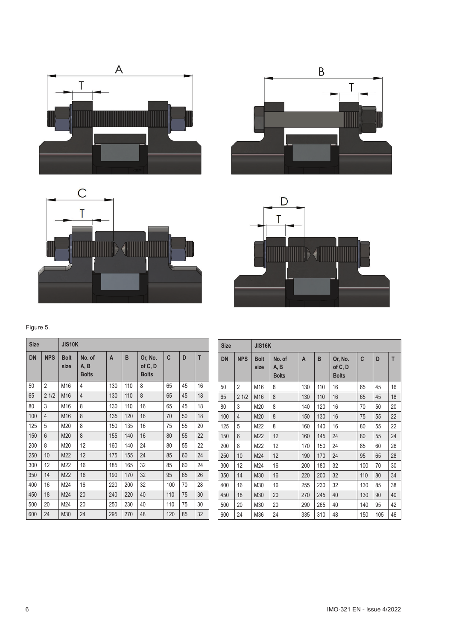







| <b>Size</b> |            | <b>JIS10K</b>       |                                |     |     |                                    |     |    |    |
|-------------|------------|---------------------|--------------------------------|-----|-----|------------------------------------|-----|----|----|
| <b>DN</b>   | <b>NPS</b> | <b>Bolt</b><br>size | No. of<br>A, B<br><b>Bolts</b> | A   | B   | Or, No.<br>of C, D<br><b>Bolts</b> | C   | D  | T  |
| 50          | 2          | M16                 | 4                              | 130 | 110 | 8                                  | 65  | 45 | 16 |
| 65          | 21/2       | M16                 | $\overline{4}$                 | 130 | 110 | 8                                  | 65  | 45 | 18 |
| 80          | 3          | M16                 | 8                              | 130 | 110 | 16                                 | 65  | 45 | 18 |
| 100         | 4          | M16                 | 8                              | 135 | 120 | 16                                 | 70  | 50 | 18 |
| 125         | 5          | M20                 | 8                              | 150 | 135 | 16                                 | 75  | 55 | 20 |
| 150         | 6          | M20                 | 8                              | 155 | 140 | 16                                 | 80  | 55 | 22 |
| 200         | 8          | M20                 | 12                             | 160 | 140 | 24                                 | 80  | 55 | 22 |
| 250         | 10         | M22                 | 12                             | 175 | 155 | 24                                 | 85  | 60 | 24 |
| 300         | 12         | M22                 | 16                             | 185 | 165 | 32                                 | 85  | 60 | 24 |
| 350         | 14         | M22                 | 16                             | 190 | 170 | 32                                 | 95  | 65 | 26 |
| 400         | 16         | M24                 | 16                             | 220 | 200 | 32                                 | 100 | 70 | 28 |
| 450         | 18         | M24                 | 20                             | 240 | 220 | 40                                 | 110 | 75 | 30 |
| 500         | 20         | M24                 | 20                             | 250 | 230 | 40                                 | 110 | 75 | 30 |
| 600         | 24         | M30                 | 24                             | 295 | 270 | 48                                 | 120 | 85 | 32 |

| <b>Size</b> |                | <b>JIS16K</b>       |                                |                |     |                                    |     |     |    |
|-------------|----------------|---------------------|--------------------------------|----------------|-----|------------------------------------|-----|-----|----|
| <b>DN</b>   | <b>NPS</b>     | <b>Bolt</b><br>size | No. of<br>A, B<br><b>Bolts</b> | $\overline{A}$ | B   | Or, No.<br>of C, D<br><b>Bolts</b> | C   | D   | T  |
| 50          | $\overline{2}$ | M16                 | 8                              | 130            | 110 | 16                                 | 65  | 45  | 16 |
| 65          | 21/2           | M16                 | 8                              | 130            | 110 | 16                                 | 65  | 45  | 18 |
| 80          | 3              | M20                 | 8                              | 140            | 120 | 16                                 | 70  | 50  | 20 |
| 100         | 4              | M20                 | 8                              | 150            | 130 | 16                                 | 75  | 55  | 22 |
| 125         | 5              | M22                 | 8                              | 160            | 140 | 16                                 | 80  | 55  | 22 |
| 150         | 6              | M22                 | 12                             | 160            | 145 | 24                                 | 80  | 55  | 24 |
| 200         | 8              | M22                 | 12                             | 170            | 150 | 24                                 | 85  | 60  | 26 |
| 250         | 10             | M24                 | 12                             | 190            | 170 | 24                                 | 95  | 65  | 28 |
| 300         | 12             | M24                 | 16                             | 200            | 180 | 32                                 | 100 | 70  | 30 |
| 350         | 14             | M30                 | 16                             | 220            | 200 | 32                                 | 110 | 80  | 34 |
| 400         | 16             | M30                 | 16                             | 255            | 230 | 32                                 | 130 | 85  | 38 |
| 450         | 18             | M30                 | 20                             | 270            | 245 | 40                                 | 130 | 90  | 40 |
| 500         | 20             | M30                 | 20                             | 290            | 265 | 40                                 | 140 | 95  | 42 |
| 600         | 24             | M36                 | 24                             | 335            | 310 | 48                                 | 150 | 105 | 46 |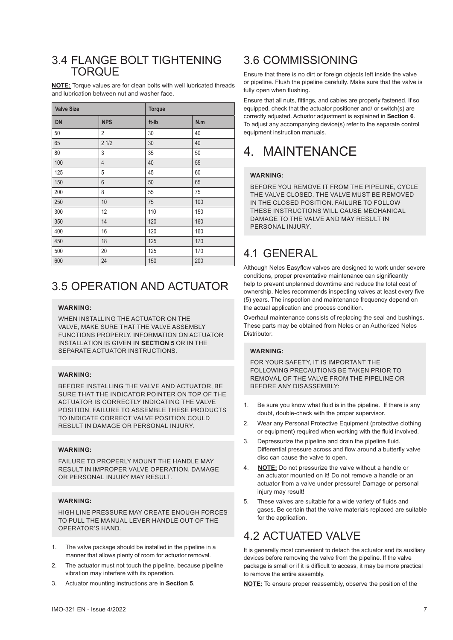### 3.4 FLANGE BOLT TIGHTENING **TORQUE**

**NOTE:** Torque values are for clean bolts with well lubricated threads and lubrication between nut and washer face.

| <b>Valve Size</b> |                | <b>Torque</b> |     |  |
|-------------------|----------------|---------------|-----|--|
| <b>DN</b>         | <b>NPS</b>     | ft-Ib         | N.m |  |
| 50                | $\overline{2}$ | 30            | 40  |  |
| 65                | 21/2           | 30            | 40  |  |
| 80                | 3              | 35            | 50  |  |
| 100               | $\overline{4}$ | 40            | 55  |  |
| 125               | 5              | 45            | 60  |  |
| 150               | $6\phantom{a}$ | 50            | 65  |  |
| 200               | 8              | 55            | 75  |  |
| 250               | 10             | 75            | 100 |  |
| 300               | 12             | 110           | 150 |  |
| 350               | 14             | 120           | 160 |  |
| 400               | 16             | 120           | 160 |  |
| 450               | 18             | 125           | 170 |  |
| 500               | 20             | 125           | 170 |  |
| 600               | 24             | 150           | 200 |  |

### 3.5 OPERATION AND ACTUATOR

#### **WARNING:**

WHEN INSTALLING THE ACTUATOR ON THE VALVE, MAKE SURE THAT THE VALVE ASSEMBLY FUNCTIONS PROPERLY. INFORMATION ON ACTUATOR INSTALLATION IS GIVEN IN **SECTION 5** OR IN THE SEPARATE ACTUATOR INSTRUCTIONS.

#### **WARNING:**

BEFORE INSTALLING THE VALVE AND ACTUATOR, BE SURE THAT THE INDICATOR POINTER ON TOP OF THE ACTUATOR IS CORRECTLY INDICATING THE VALVE POSITION. FAILURE TO ASSEMBLE THESE PRODUCTS TO INDICATE CORRECT VALVE POSITION COULD RESULT IN DAMAGE OR PERSONAL INJURY.

#### **WARNING:**

FAILURE TO PROPERLY MOUNT THE HANDLE MAY RESULT IN IMPROPER VALVE OPERATION, DAMAGE OR PERSONAL INJURY MAY RESULT.

#### **WARNING:**

HIGH LINE PRESSURE MAY CREATE ENOUGH FORCES TO PULL THE MANUAL LEVER HANDLE OUT OF THE OPERATOR'S HAND.

- 1. The valve package should be installed in the pipeline in a manner that allows plenty of room for actuator removal.
- 2. The actuator must not touch the pipeline, because pipeline vibration may interfere with its operation.
- 3. Actuator mounting instructions are in **Section 5**.

### 3.6 COMMISSIONING

Ensure that there is no dirt or foreign objects left inside the valve or pipeline. Flush the pipeline carefully. Make sure that the valve is fully open when flushing.

Ensure that all nuts, fittings, and cables are properly fastened. If so equipped, check that the actuator positioner and/ or switch(s) are correctly adjusted. Actuator adjustment is explained in **Section 6**. To adjust any accompanying device(s) refer to the separate control equipment instruction manuals.

# 4. MAINTENANCE

#### **WARNING:**

BEFORE YOU REMOVE IT FROM THE PIPELINE, CYCLE THE VALVE CLOSED. THE VALVE MUST BE REMOVED IN THE CLOSED POSITION. FAILURE TO FOLLOW THESE INSTRUCTIONS WILL CAUSE MECHANICAL DAMAGE TO THE VALVE AND MAY RESULT IN PERSONAL INJURY.

# 4.1 GENERAL

Although Neles Easyflow valves are designed to work under severe conditions, proper preventative maintenance can significantly help to prevent unplanned downtime and reduce the total cost of ownership. Neles recommends inspecting valves at least every five (5) years. The inspection and maintenance frequency depend on the actual application and process condition.

Overhaul maintenance consists of replacing the seal and bushings. These parts may be obtained from Neles or an Authorized Neles Distributor.

#### **WARNING:**

FOR YOUR SAFETY, IT IS IMPORTANT THE FOLLOWING PRECAUTIONS BE TAKEN PRIOR TO REMOVAL OF THE VALVE FROM THE PIPELINE OR BEFORE ANY DISASSEMBLY:

- 1. Be sure you know what fluid is in the pipeline. If there is any doubt, double-check with the proper supervisor.
- 2. Wear any Personal Protective Equipment (protective clothing or equipment) required when working with the fluid involved.
- 3. Depressurize the pipeline and drain the pipeline fluid. Differential pressure across and flow around a butterfly valve disc can cause the valve to open.
- 4. **NOTE:** Do not pressurize the valve without a handle or an actuator mounted on it! Do not remove a handle or an actuator from a valve under pressure! Damage or personal injury may result!
- 5. These valves are suitable for a wide variety of fluids and gases. Be certain that the valve materials replaced are suitable for the application.

### 4.2 ACTUATED VALVE

It is generally most convenient to detach the actuator and its auxiliary devices before removing the valve from the pipeline. If the valve package is small or if it is difficult to access, it may be more practical to remove the entire assembly.

**NOTE:** To ensure proper reassembly, observe the position of the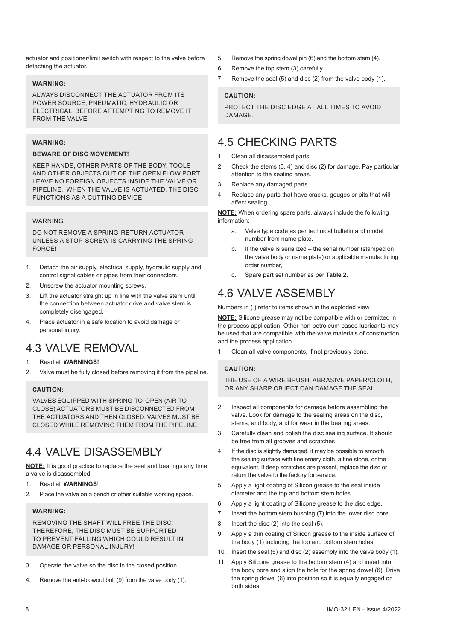actuator and positioner/limit switch with respect to the valve before detaching the actuator.

#### **WARNING:**

ALWAYS DISCONNECT THE ACTUATOR FROM ITS POWER SOURCE, PNEUMATIC, HYDRAULIC OR ELECTRICAL, BEFORE ATTEMPTING TO REMOVE IT FROM THE VALVEL

#### **WARNING:**

#### **BEWARE OF DISC MOVEMENT!**

KEEP HANDS, OTHER PARTS OF THE BODY, TOOLS AND OTHER OBJECTS OUT OF THE OPEN FLOW PORT. LEAVE NO FOREIGN OBJECTS INSIDE THE VALVE OR PIPELINE. WHEN THE VALVE IS ACTUATED, THE DISC FUNCTIONS AS A CUTTING DEVICE.

#### WARNING:

DO NOT REMOVE A SPRING-RETURN ACTUATOR UNLESS A STOP-SCREW IS CARRYING THE SPRING **FORCE!** 

- 1. Detach the air supply, electrical supply, hydraulic supply and control signal cables or pipes from their connectors.
- 2. Unscrew the actuator mounting screws.
- 3. Lift the actuator straight up in line with the valve stem until the connection between actuator drive and valve stem is completely disengaged.
- 4. Place actuator in a safe location to avoid damage or personal injury.

# 4.3 VALVE REMOVAL

#### 1. Read all **WARNINGS!**

2. Valve must be fully closed before removing it from the pipeline.

#### **CAUTION:**

VALVES EQUIPPED WITH SPRING-TO-OPEN (AIR-TO-CLOSE) ACTUATORS MUST BE DISCONNECTED FROM THE ACTUATORS AND THEN CLOSED. VALVES MUST BE CLOSED WHILE REMOVING THEM FROM THE PIPELINE.

### 4.4 VALVE DISASSEMBLY

**NOTE:** It is good practice to replace the seal and bearings any time a valve is disassembled.

- 1. Read all **WARNINGS**!
- 2. Place the valve on a bench or other suitable working space.

#### **WARNING:**

REMOVING THE SHAFT WILL FREE THE DISC; THEREFORE, THE DISC MUST BE SUPPORTED TO PREVENT FALLING WHICH COULD RESULT IN DAMAGE OR PERSONAL INJURY!

- 3. Operate the valve so the disc in the closed position
- 4. Remove the anti-blowout bolt (9) from the valve body (1).
- 5. Remove the spring dowel pin (6) and the bottom stem (4).
- 6. Remove the top stem (3) carefully.
- 7. Remove the seal (5) and disc (2) from the valve body (1).

#### **CAUTION:**

PROTECT THE DISC EDGE AT ALL TIMES TO AVOID DAMAGE.

### 4.5 CHECKING PARTS

- 1. Clean all disassembled parts.
- 2. Check the stems (3, 4) and disc (2) for damage. Pay particular attention to the sealing areas.
- 3. Replace any damaged parts.
- 4. Replace any parts that have cracks, gouges or pits that will affect sealing.

**NOTE:** When ordering spare parts, always include the following information:

- a. Valve type code as per technical bulletin and model number from name plate,
- b. If the valve is serialized the serial number (stamped on the valve body or name plate) or applicable manufacturing order number,
- c. Spare part set number as per **Table 2**.

### 4.6 VALVE ASSEMBLY

Numbers in ( ) refer to items shown in the exploded view

**NOTE:** Silicone grease may not be compatible with or permitted in the process application. Other non-petroleum based lubricants may be used that are compatible with the valve materials of construction and the process application.

Clean all valve components, if not previously done.

#### **CAUTION:**

THE USE OF A WIRE BRUSH, ABRASIVE PAPER/CLOTH OR ANY SHARP OBJECT CAN DAMAGE THE SEAL.

- 2. Inspect all components for damage before assembling the valve. Look for damage to the sealing areas on the disc, stems, and body, and for wear in the bearing areas.
- 3. Carefully clean and polish the disc sealing surface. It should be free from all grooves and scratches.
- 4. If the disc is slightly damaged, it may be possible to smooth the sealing surface with fine emery cloth, a fine stone, or the equivalent. If deep scratches are present, replace the disc or return the valve to the factory for service.
- 5. Apply a light coating of Silicon grease to the seal inside diameter and the top and bottom stem holes.
- 6. Apply a light coating of Silicone grease to the disc edge.
- 7. Insert the bottom stem bushing (7) into the lower disc bore.
- 8. Insert the disc (2) into the seal (5).
- 9. Apply a thin coating of Silicon grease to the inside surface of the body (1) including the top and bottom stem holes.
- 10. Insert the seal (5) and disc (2) assembly into the valve body (1).
- 11. Apply Silicone grease to the bottom stem (4) and insert into the body bore and align the hole for the spring dowel (6). Drive the spring dowel (6) into position so it is equally engaged on both sides.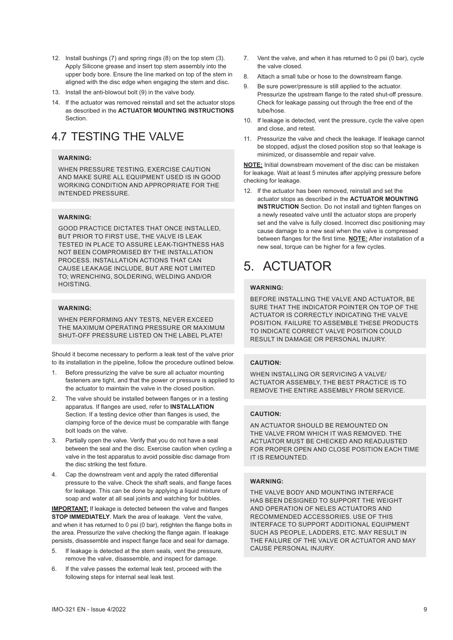- 12. Install bushings (7) and spring rings (8) on the top stem (3). Apply Silicone grease and insert top stem assembly into the upper body bore. Ensure the line marked on top of the stem in aligned with the disc edge when engaging the stem and disc.
- 13. Install the anti-blowout bolt (9) in the valve body.
- 14. If the actuator was removed reinstall and set the actuator stops as described in the **ACTUATOR MOUNTING INSTRUCTIONS Section**

# 4.7 TESTING THE VALVE

#### **WARNING:**

WHEN PRESSURE TESTING, EXERCISE CAUTION AND MAKE SURE ALL EQUIPMENT USED IS IN GOOD WORKING CONDITION AND APPROPRIATE FOR THE INTENDED PRESSURE.

#### **WARNING:**

GOOD PRACTICE DICTATES THAT ONCE INSTALLED, BUT PRIOR TO FIRST USE, THE VALVE IS LEAK TESTED IN PLACE TO ASSURE LEAK-TIGHTNESS HAS NOT BEEN COMPROMISED BY THE INSTALLATION PROCESS. INSTALLATION ACTIONS THAT CAN CAUSE LEAKAGE INCLUDE, BUT ARE NOT LIMITED TO; WRENCHING, SOLDERING, WELDING AND/OR HOISTING.

#### **WARNING:**

WHEN PERFORMING ANY TESTS, NEVER EXCEED THE MAXIMUM OPERATING PRESSURE OR MAXIMUM SHUT-OFF PRESSURE LISTED ON THE LABEL PLATE!

Should it become necessary to perform a leak test of the valve prior to its installation in the pipeline, follow the procedure outlined below.

- 1. Before pressurizing the valve be sure all actuator mounting fasteners are tight, and that the power or pressure is applied to the actuator to maintain the valve in the closed position.
- 2. The valve should be installed between flanges or in a testing apparatus. If flanges are used, refer to **INSTALLATION** Section. If a testing device other than flanges is used, the clamping force of the device must be comparable with flange bolt loads on the valve.
- 3. Partially open the valve. Verify that you do not have a seal between the seal and the disc. Exercise caution when cycling a valve in the test apparatus to avoid possible disc damage from the disc striking the test fixture.
- 4. Cap the downstream vent and apply the rated differential pressure to the valve. Check the shaft seals, and flange faces for leakage. This can be done by applying a liquid mixture of soap and water at all seal joints and watching for bubbles.

**IMPORTANT:** If leakage is detected between the valve and flanges **STOP IMMEDIATELY**. Mark the area of leakage. Vent the valve, and when it has returned to 0 psi (0 bar), retighten the flange bolts in the area. Pressurize the valve checking the flange again. If leakage persists, disassemble and inspect flange face and seal for damage.

- 5. If leakage is detected at the stem seals, vent the pressure, remove the valve, disassemble, and inspect for damage.
- 6. If the valve passes the external leak test, proceed with the following steps for internal seal leak test.
- 7. Vent the valve, and when it has returned to 0 psi (0 bar), cycle the valve closed.
- 8. Attach a small tube or hose to the downstream flange.
- 9. Be sure power/pressure is still applied to the actuator. Pressurize the upstream flange to the rated shut-off pressure. Check for leakage passing out through the free end of the tube/hose.
- 10. If leakage is detected, vent the pressure, cycle the valve open and close, and retest.
- 11. Pressurize the valve and check the leakage. If leakage cannot be stopped, adjust the closed position stop so that leakage is minimized, or disassemble and repair valve.

**NOTE:** Initial downstream movement of the disc can be mistaken for leakage. Wait at least 5 minutes after applying pressure before checking for leakage.

12. If the actuator has been removed, reinstall and set the actuator stops as described in the **ACTUATOR MOUNTING INSTRUCTION** Section. Do not install and tighten flanges on a newly reseated valve until the actuator stops are properly set and the valve is fully closed. Incorrect disc positioning may cause damage to a new seal when the valve is compressed between flanges for the first time. **NOTE:** After installation of a new seal, torque can be higher for a few cycles.

# 5. ACTUATOR

#### **WARNING:**

BEFORE INSTALLING THE VALVE AND ACTUATOR, BE SURE THAT THE INDICATOR POINTER ON TOP OF THE ACTUATOR IS CORRECTLY INDICATING THE VALVE POSITION. FAILURE TO ASSEMBLE THESE PRODUCTS TO INDICATE CORRECT VALVE POSITION COULD RESULT IN DAMAGE OR PERSONAL INJURY.

#### **CAUTION:**

WHEN INSTALLING OR SERVICING A VALVE/ ACTUATOR ASSEMBLY, THE BEST PRACTICE IS TO REMOVE THE ENTIRE ASSEMBLY FROM SERVICE.

#### **CAUTION:**

AN ACTUATOR SHOULD BE REMOUNTED ON THE VALVE FROM WHICH IT WAS REMOVED. THE ACTUATOR MUST BE CHECKED AND READJUSTED FOR PROPER OPEN AND CLOSE POSITION EACH TIME IT IS REMOUNTED.

#### **WARNING:**

THE VALVE BODY AND MOUNTING INTERFACE HAS BEEN DESIGNED TO SUPPORT THE WEIGHT AND OPERATION OF NELES ACTUATORS AND RECOMMENDED ACCESSORIES. USE OF THIS INTERFACE TO SUPPORT ADDITIONAL EQUIPMENT SUCH AS PEOPLE, LADDERS, ETC. MAY RESULT IN THE FAILURE OF THE VALVE OR ACTUATOR AND MAY CAUSE PERSONAL INJURY.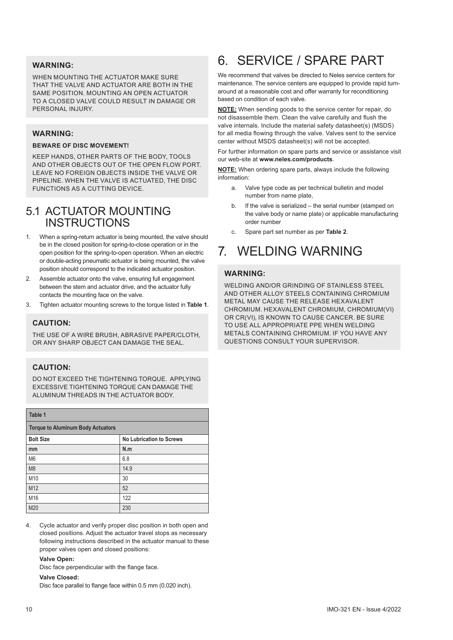#### **WARNING:**

WHEN MOUNTING THE ACTUATOR MAKE SURE THAT THE VALVE AND ACTUATOR ARE BOTH IN THE SAME POSITION. MOUNTING AN OPEN ACTUATOR TO A CLOSED VALVE COULD RESULT IN DAMAGE OR PERSONAL INJURY.

#### **WARNING:**

#### **BEWARE OF DISC MOVEMENT!**

KEEP HANDS, OTHER PARTS OF THE BODY, TOOLS AND OTHER OBJECTS OUT OF THE OPEN FLOW PORT. LEAVE NO FOREIGN OBJECTS INSIDE THE VALVE OR PIPELINE. WHEN THE VALVE IS ACTUATED, THE DISC FUNCTIONS AS A CUTTING DEVICE.

### 5.1 ACTUATOR MOUNTING INSTRUCTIONS

- 1. When a spring-return actuator is being mounted, the valve should be in the closed position for spring-to-close operation or in the open position for the spring-to-open operation. When an electric or double-acting pneumatic actuator is being mounted, the valve position should correspond to the indicated actuator position.
- 2. Assemble actuator onto the valve, ensuring full engagement between the stem and actuator drive, and the actuator fully contacts the mounting face on the valve.
- 3. Tighten actuator mounting screws to the torque listed in **Table 1**.

#### **CAUTION:**

THE USE OF A WIRE BRUSH, ABRASIVE PAPER/CLOTH, OR ANY SHARP OBJECT CAN DAMAGE THE SEAL.

#### **CAUTION:**

DO NOT EXCEED THE TIGHTENING TORQUE. APPLYING EXCESSIVE TIGHTENING TORQUE CAN DAMAGE THE ALUMINUM THREADS IN THE ACTUATOR BODY.

| Table 1                                  |                                 |  |  |  |  |
|------------------------------------------|---------------------------------|--|--|--|--|
| <b>Torque to Aluminum Body Actuators</b> |                                 |  |  |  |  |
| <b>Bolt Size</b>                         | <b>No Lubrication to Screws</b> |  |  |  |  |
| mm                                       | N.m                             |  |  |  |  |
| M <sub>6</sub>                           | 6.8                             |  |  |  |  |
| M <sub>8</sub>                           | 14.9                            |  |  |  |  |
| M10                                      | 30                              |  |  |  |  |
| M12                                      | 52                              |  |  |  |  |
| M16                                      | 122                             |  |  |  |  |
| M20                                      | 230                             |  |  |  |  |

Cycle actuator and verify proper disc position in both open and closed positions. Adjust the actuator travel stops as necessary following instructions described in the actuator manual to these proper valves open and closed positions:

#### **Valve Open:**

Disc face perpendicular with the flange face.

#### **Valve Closed:**

Disc face parallel to flange face within 0.5 mm (0.020 inch).

# 6. SERVICE / SPARE PART

We recommend that valves be directed to Neles service centers for maintenance. The service centers are equipped to provide rapid turnaround at a reasonable cost and offer warranty for reconditioning based on condition of each valve.

**NOTE:** When sending goods to the service center for repair, do not disassemble them. Clean the valve carefully and flush the valve internals. Include the material safety datasheet(s) (MSDS) for all media flowing through the valve. Valves sent to the service center without MSDS datasheet(s) will not be accepted.

For further information on spare parts and service or assistance visit our web-site at **www.neles.com/products**.

**NOTE:** When ordering spare parts, always include the following information:

- a. Valve type code as per technical bulletin and model number from name plate,
- b. If the valve is serialized the serial number (stamped on the valve body or name plate) or applicable manufacturing order number
- c. Spare part set number as per **Table 2**.

# 7. WELDING WARNING

#### **WARNING:**

WELDING AND/OR GRINDING OF STAINLESS STEEL AND OTHER ALLOY STEELS CONTAINING CHROMIUM METAL MAY CAUSE THE RELEASE HEXAVALENT CHROMIUM. HEXAVALENT CHROMIUM, CHROMIUM(VI) OR CR(VI), IS KNOWN TO CAUSE CANCER. BE SURE TO USE ALL APPROPRIATE PPE WHEN WELDING METALS CONTAINING CHROMIUM. IF YOU HAVE ANY QUESTIONS CONSULT YOUR SUPERVISOR.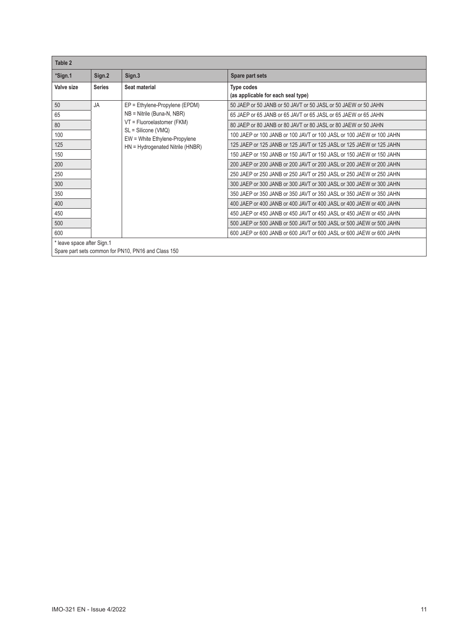| Table 2                    |               |                                                      |                                                                      |
|----------------------------|---------------|------------------------------------------------------|----------------------------------------------------------------------|
| *Sign.1                    | Sign.2        | Sign.3                                               | Spare part sets                                                      |
| Valve size                 | <b>Series</b> | Seat material                                        | Type codes<br>(as applicable for each seal type)                     |
| 50                         | <b>JA</b>     | EP = Ethylene-Propylene (EPDM)                       | 50 JAEP or 50 JANB or 50 JAVT or 50 JASL or 50 JAEW or 50 JAHN       |
| 65                         |               | $NB =$ Nitrile (Buna-N, NBR)                         | 65 JAEP or 65 JANB or 65 JAVT or 65 JASL or 65 JAEW or 65 JAHN       |
| 80                         |               | VT = Fluoroelastomer (FKM)                           | 80 JAEP or 80 JANB or 80 JAVT or 80 JASL or 80 JAEW or 50 JAHN       |
| 100                        |               | SL = Silicone (VMQ)<br>EW = White Ethylene-Propylene | 100 JAEP or 100 JANB or 100 JAVT or 100 JASL or 100 JAEW or 100 JAHN |
| 125                        |               | HN = Hydrogenated Nitrile (HNBR)                     | 125 JAEP or 125 JANB or 125 JAVT or 125 JASL or 125 JAEW or 125 JAHN |
| 150                        |               |                                                      | 150 JAEP or 150 JANB or 150 JAVT or 150 JASL or 150 JAEW or 150 JAHN |
| 200                        |               |                                                      | 200 JAEP or 200 JANB or 200 JAVT or 200 JASL or 200 JAEW or 200 JAHN |
| 250                        |               |                                                      | 250 JAEP or 250 JANB or 250 JAVT or 250 JASL or 250 JAEW or 250 JAHN |
| 300                        |               |                                                      | 300 JAEP or 300 JANB or 300 JAVT or 300 JASL or 300 JAEW or 300 JAHN |
| 350                        |               |                                                      | 350 JAEP or 350 JANB or 350 JAVT or 350 JASL or 350 JAEW or 350 JAHN |
| 400                        |               |                                                      | 400 JAEP or 400 JANB or 400 JAVT or 400 JASL or 400 JAEW or 400 JAHN |
| 450                        |               |                                                      | 450 JAEP or 450 JANB or 450 JAVT or 450 JASL or 450 JAEW or 450 JAHN |
| 500                        |               |                                                      | 500 JAEP or 500 JANB or 500 JAVT or 500 JASL or 500 JAEW or 500 JAHN |
| 600                        |               |                                                      | 600 JAEP or 600 JANB or 600 JAVT or 600 JASL or 600 JAEW or 600 JAHN |
| * leave space after Sign.1 |               |                                                      |                                                                      |

Spare part sets common for PN10, PN16 and Class 150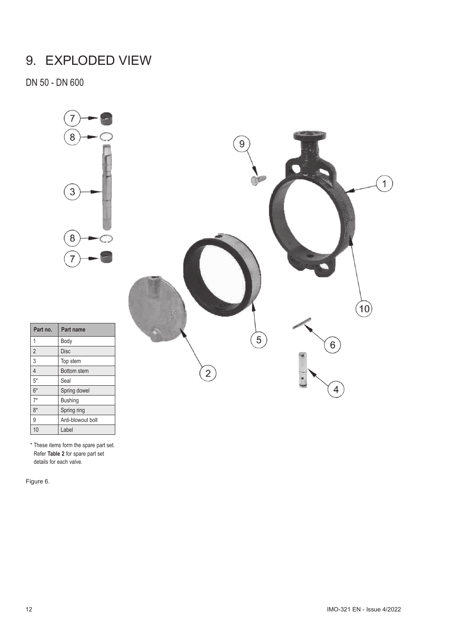# 9. EXPLODED VIEW

DN 50 - DN 600



|                | 9 |   |                   |
|----------------|---|---|-------------------|
|                |   |   |                   |
|                | 5 | 6 | $\left(10\right)$ |
| $\overline{c}$ |   | 4 |                   |

| Part no.       | Part name          |
|----------------|--------------------|
| 1              | Body               |
| $\overline{2}$ | <b>Disc</b>        |
| 3              | Top stem           |
| $\overline{4}$ | <b>Bottom</b> stem |
| $5*$           | Seal               |
| $6*$           | Spring dowel       |
| $7*$           | <b>Bushing</b>     |
| $8*$           | Spring ring        |
| 9              | Anti-blowout bolt  |
| 10             | Label              |

\* These items form the spare part set. Refer **Table 2** for spare part set details for each valve.

Figure 6.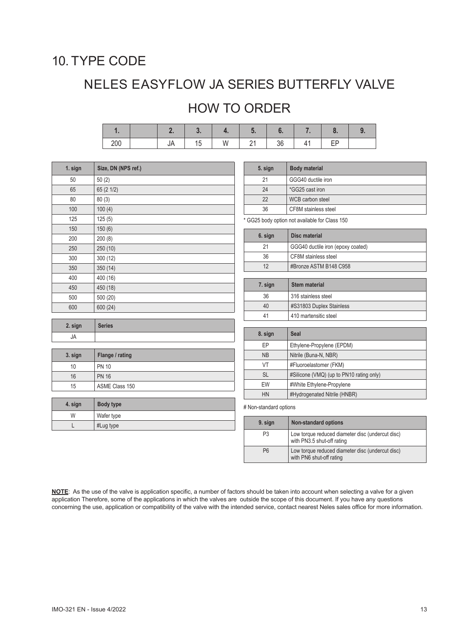# 10. TYPE CODE

# NELES EASYFLOW JA SERIES BUTTERFLY VALVE

# HOW TO ORDER

|  |  | W | 21 36 |  |  |
|--|--|---|-------|--|--|

| 1. sign | Size, DN (NPS ref.) |
|---------|---------------------|
| 50      | 50(2)               |
| 65      | 65 (2 1/2)          |
| 80      | 80(3)               |
| 100     | 100(4)              |
| 125     | 125(5)              |
| 150     | 150(6)              |
| 200     | 200(8)              |
| 250     | 250 (10)            |
| 300     | 300(12)             |
| 350     | 350(14)             |
| 400     | 400 (16)            |
| 450     | 450 (18)            |
| 500     | 500 (20)            |
| 600     | 600 (24)            |

| 2. sign | <b>Series</b> |
|---------|---------------|
| JA      |               |

| 3. sign | Flange / rating |
|---------|-----------------|
| 10      | <b>PN 10</b>    |
| 16      | <b>PN 16</b>    |
| 15      | ASME Class 150  |

| 4. sign | Body type  |
|---------|------------|
| W       | Wafer type |
|         | #Lug type  |

| 5. sign | <b>Body material</b> |
|---------|----------------------|
| 21      | GGG40 ductile iron   |
| 24      | *GG25 cast iron      |
| 22      | WCB carbon steel     |
| 36      | CF8M stainless steel |

\* GG25 body option not available for Class 150

| 6. sign | Disc material                     |
|---------|-----------------------------------|
| 21      | GGG40 ductile iron (epoxy coated) |
| 36      | CF8M stainless steel              |
| 12      | #Bronze ASTM B148 C958            |
|         |                                   |
| _ _     |                                   |

| <b>Stem material</b>     |
|--------------------------|
| 316 stainless steel      |
| #S31803 Duplex Stainless |
| 410 martensitic steel    |
|                          |

| 8. sign   | Seal                                     |
|-----------|------------------------------------------|
| EP        | Ethylene-Propylene (EPDM)                |
| <b>NB</b> | Nitrile (Buna-N, NBR)                    |
| VT        | #Fluoroelastomer (FKM)                   |
| <b>SL</b> | #Silicone (VMQ) (up to PN10 rating only) |
| EW        | #White Ethylene-Propylene                |
| HN        | #Hydrogenated Nitrile (HNBR)             |

# Non-standard options

| 9. sign        | <b>Non-standard options</b>                                                    |  |
|----------------|--------------------------------------------------------------------------------|--|
| P <sub>3</sub> | Low torque reduced diameter disc (undercut disc)<br>with PN3.5 shut-off rating |  |
| P <sub>6</sub> | Low torque reduced diameter disc (undercut disc)<br>with PN6 shut-off rating   |  |

**NOTE**: As the use of the valve is application specific, a number of factors should be taken into account when selecting a valve for a given application Therefore, some of the applications in which the valves are outside the scope of this document. If you have any questions concerning the use, application or compatibility of the valve with the intended service, contact nearest Neles sales office for more information.